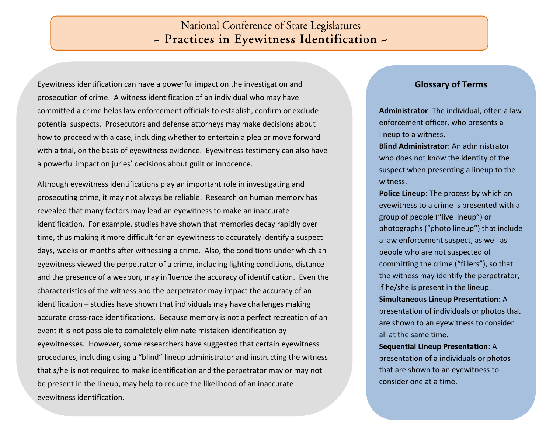## **National Conference of State Legislatures** - Practices in Eyewitness Identification -

Eyewitness identification can have a powerful impact on the investigation and prosecution of crime. A witness identification of an individual who may have committed a crime helps law enforcement officials to establish, confirm or exclude potential suspects. Prosecutors and defense attorneys may make decisions about how to proceed with a case, including whether to entertain a plea or move forward with a trial, on the basis of eyewitness evidence. Eyewitness testimony can also have a powerful impact on juries' decisions about guilt or innocence.

Although eyewitness identifications play an important role in investigating and prosecuting crime, it may not always be reliable. Research on human memory has revealed that many factors may lead an eyewitness to make an inaccurate identification. For example, studies have shown that memories decay rapidly over time, thus making it more difficult for an eyewitness to accurately identify a suspect days, weeks or months after witnessing a crime. Also, the conditions under which an eyewitness viewed the perpetrator of a crime, including lighting conditions, distance and the presence of a weapon, may influence the accuracy of identification. Even the characteristics of the witness and the perpetrator may impact the accuracy of an identification – studies have shown that individuals may have challenges making accurate cross-race identifications. Because memory is not a perfect recreation of an event it is not possible to completely eliminate mistaken identification by eyewitnesses. However, some researchers have suggested that certain eyewitness procedures, including using a "blind" lineup administrator and instructing the witness that s/he is not required to make identification and the perpetrator may or may not be present in the lineup, may help to reduce the likelihood of an inaccurate eyewitness identification.

#### **Glossary of Terms**

**Administrator**: The individual, often a law enforcement officer, who presents a lineup to a witness.

**Blind Administrator**: An administrator who does not know the identity of the suspect when presenting a lineup to the witness.

**Police Lineup**: The process by which an eyewitness to a crime is presented with a group of people ("live lineup") or photographs ("photo lineup") that include a law enforcement suspect, as well as people who are not suspected of committing the crime ("fillers"), so that the witness may identify the perpetrator, if he/she is present in the lineup. **Simultaneous Lineup Presentation**: A presentation of individuals or photos that are shown to an eyewitness to consider all at the same time.

**Sequential Lineup Presentation**: A presentation of a individuals or photos that are shown to an eyewitness to consider one at a time.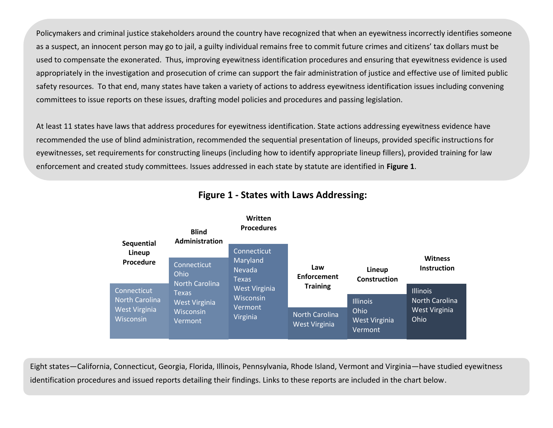Policymakers and criminal justice stakeholders around the country have recognized that when an eyewitness incorrectly identifies someone as a suspect, an innocent person may go to jail, a guilty individual remains free to commit future crimes and citizens' tax dollars must be used to compensate the exonerated. Thus, improving eyewitness identification procedures and ensuring that eyewitness evidence is used appropriately in the investigation and prosecution of crime can support the fair administration of justice and effective use of limited public safety resources. To that end, many states have taken a variety of actions to address eyewitness identification issues including convening committees to issue reports on these issues, drafting model policies and procedures and passing legislation.

At least 11 states have laws that address procedures for eyewitness identification. State actions addressing eyewitness evidence have recommended the use of blind administration, recommended the sequential presentation of lineups, provided specific instructions for eyewitnesses, set requirements for constructing lineups (including how to identify appropriate lineup fillers), provided training for law enforcement and created study committees. Issues addressed in each state by statute are identified in **Figure 1**.



#### **Figure 1 - States with Laws Addressing:**

Eight states—California, Connecticut, Georgia, Florida, Illinois, Pennsylvania, Rhode Island, Vermont and Virginia—have studied eyewitness identification procedures and issued reports detailing their findings. Links to these reports are included in the chart below.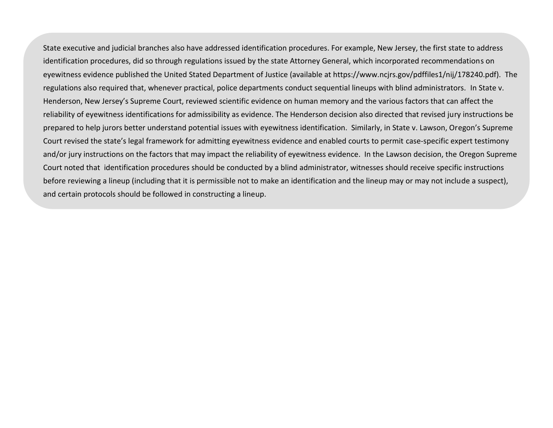State executive and judicial branches also have addressed identification procedures. For example, New Jersey, the first state to address identification procedures, did so through regulations issued by the state Attorney General, which incorporated recommendations on eyewitness evidence published the United Stated Department of Justice (available at https://www.ncjrs.gov/pdffiles1/nij/178240.pdf). The regulations also required that, whenever practical, police departments conduct sequential lineups with blind administrators. In State v. Henderson, New Jersey's Supreme Court, reviewed scientific evidence on human memory and the various factors that can affect the reliability of eyewitness identifications for admissibility as evidence. The Henderson decision also directed that revised jury instructions be prepared to help jurors better understand potential issues with eyewitness identification. Similarly, in State v. Lawson, Oregon's Supreme Court revised the state's legal framework for admitting eyewitness evidence and enabled courts to permit case-specific expert testimony and/or jury instructions on the factors that may impact the reliability of eyewitness evidence. In the Lawson decision, the Oregon Supreme Court noted that identification procedures should be conducted by a blind administrator, witnesses should receive specific instructions before reviewing a lineup (including that it is permissible not to make an identification and the lineup may or may not include a suspect), and certain protocols should be followed in constructing a lineup.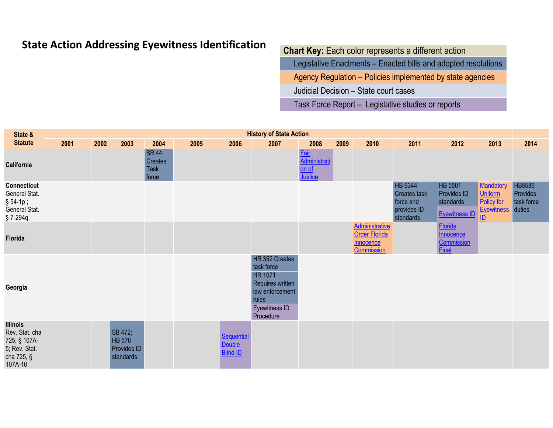# **State Action Addressing Eyewitness Identification**

### **Chart Key:** Each color represents a different action

Legislative Enactments – Enacted bills and adopted resolutions

Agency Regulation – Policies implemented by state agencies

Judicial Decision – State court cases

Task Force Report – Legislative studies or reports

| State &                                                                                     |      | <b>History of State Action</b> |                                                      |                                                 |      |                                                |                                                                                                                              |                                            |      |                                                                                 |                                                                         |                                                                    |                                                                                             |                                                   |  |
|---------------------------------------------------------------------------------------------|------|--------------------------------|------------------------------------------------------|-------------------------------------------------|------|------------------------------------------------|------------------------------------------------------------------------------------------------------------------------------|--------------------------------------------|------|---------------------------------------------------------------------------------|-------------------------------------------------------------------------|--------------------------------------------------------------------|---------------------------------------------------------------------------------------------|---------------------------------------------------|--|
| <b>Statute</b>                                                                              | 2001 | 2002                           | 2003                                                 | 2004                                            | 2005 | 2006                                           | 2007                                                                                                                         | 2008                                       | 2009 | 2010                                                                            | 2011                                                                    | 2012                                                               | 2013                                                                                        | 2014                                              |  |
| California                                                                                  |      |                                |                                                      | <b>SR 44</b><br>Creates<br><b>Task</b><br>force |      |                                                |                                                                                                                              | Fair<br>Administrati<br>$on of$<br>Justice |      |                                                                                 |                                                                         |                                                                    |                                                                                             |                                                   |  |
| Connecticut<br>General Stat.<br>$§ 54-1p;$<br>General Stat.<br>§7-294q                      |      |                                |                                                      |                                                 |      |                                                |                                                                                                                              |                                            |      |                                                                                 | HB 6344<br><b>Creates task</b><br>force and<br>provides ID<br>standards | HB 5501<br><b>Provides ID</b><br>standards<br><b>Eyewitness ID</b> | Mandatory<br><b>Uniform</b><br>Policy for<br><b>Eyewitness</b><br>$\underline{\mathsf{ID}}$ | <b>HB5586</b><br>Provides<br>task force<br>duties |  |
| Florida                                                                                     |      |                                |                                                      |                                                 |      |                                                |                                                                                                                              |                                            |      | <b>Administrative</b><br><b>Order Florida</b><br><b>Innocence</b><br>Commission |                                                                         | <b>Florida</b><br>Innocence<br>Commission<br><b>Final</b>          |                                                                                             |                                                   |  |
| Georgia                                                                                     |      |                                |                                                      |                                                 |      |                                                | HR 352 Creates<br>task force<br><b>HR 1071</b><br>Requires written<br>law enforcement<br>rules<br>Eyewitness ID<br>Procedure |                                            |      |                                                                                 |                                                                         |                                                                    |                                                                                             |                                                   |  |
| <b>Illinois</b><br>Rev. Stat. cha<br>725, § 107A-<br>5; Rev. Stat.<br>cha 725, §<br>107A-10 |      |                                | SB 472;<br><b>HB 576</b><br>Provides ID<br>standards |                                                 |      | Sequential<br><b>Double</b><br><b>Blind ID</b> |                                                                                                                              |                                            |      |                                                                                 |                                                                         |                                                                    |                                                                                             |                                                   |  |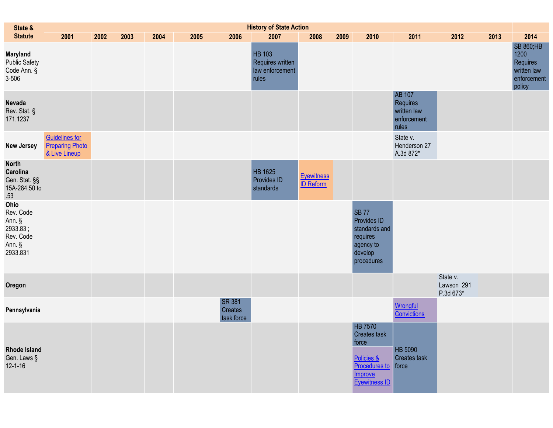| State &                                                                    | <b>History of State Action</b>                                   |      |      |      |      |                                        |                                                               |                                       |      |                                                                                                           |                                                           |                                     |      |                                                                              |
|----------------------------------------------------------------------------|------------------------------------------------------------------|------|------|------|------|----------------------------------------|---------------------------------------------------------------|---------------------------------------|------|-----------------------------------------------------------------------------------------------------------|-----------------------------------------------------------|-------------------------------------|------|------------------------------------------------------------------------------|
| <b>Statute</b>                                                             | 2001                                                             | 2002 | 2003 | 2004 | 2005 | 2006                                   | 2007                                                          | 2008                                  | 2009 | 2010                                                                                                      | 2011                                                      | 2012                                | 2013 | 2014                                                                         |
| <b>Maryland</b><br>Public Safety<br>Code Ann. §<br>3-506                   |                                                                  |      |      |      |      |                                        | <b>HB 103</b><br>Requires written<br>law enforcement<br>rules |                                       |      |                                                                                                           |                                                           |                                     |      | <b>SB 860;HB</b><br>1200<br>Requires<br>written law<br>enforcement<br>policy |
| Nevada<br>Rev. Stat. §<br>171.1237                                         |                                                                  |      |      |      |      |                                        |                                                               |                                       |      |                                                                                                           | AB 107<br>Requires<br>written law<br>enforcement<br>rules |                                     |      |                                                                              |
| <b>New Jersey</b>                                                          | <b>Guidelines for</b><br><b>Preparing Photo</b><br>& Live Lineup |      |      |      |      |                                        |                                                               |                                       |      |                                                                                                           | State v.<br>Henderson 27<br>A.3d 872*                     |                                     |      |                                                                              |
| <b>North</b><br>Carolina<br>Gen. Stat. §§<br>15A-284.50 to<br>.53          |                                                                  |      |      |      |      |                                        | HB 1625<br><b>Provides ID</b><br>standards                    | <b>Eyewitness</b><br><b>ID Reform</b> |      |                                                                                                           |                                                           |                                     |      |                                                                              |
| Ohio<br>Rev. Code<br>Ann. §<br>2933.83;<br>Rev. Code<br>Ann. §<br>2933.831 |                                                                  |      |      |      |      |                                        |                                                               |                                       |      | <b>SB 77</b><br>Provides ID<br>standards and<br>requires<br>agency to<br>develop<br>procedures            |                                                           |                                     |      |                                                                              |
| Oregon                                                                     |                                                                  |      |      |      |      |                                        |                                                               |                                       |      |                                                                                                           |                                                           | State v.<br>Lawson 291<br>P.3d 673* |      |                                                                              |
| Pennsylvania                                                               |                                                                  |      |      |      |      | <b>SR 381</b><br>Creates<br>task force |                                                               |                                       |      |                                                                                                           | <b>Wrongful</b><br>Convictions                            |                                     |      |                                                                              |
| <b>Rhode Island</b><br>Gen. Laws §<br>$12 - 1 - 16$                        |                                                                  |      |      |      |      |                                        |                                                               |                                       |      | <b>HB 7570</b><br>Creates task<br>force<br>Policies &<br>Procedures to<br>Improve<br><b>Eyewitness ID</b> | HB 5090<br><b>Creates task</b><br>force                   |                                     |      |                                                                              |